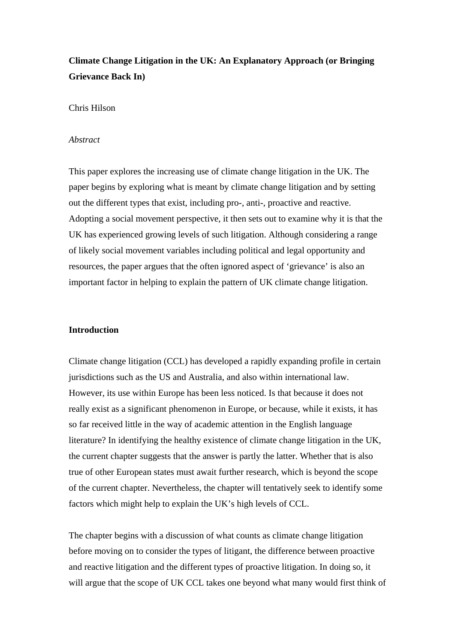# **Climate Change Litigation in the UK: An Explanatory Approach (or Bringing Grievance Back In)**

# Chris Hilson

#### *Abstract*

This paper explores the increasing use of climate change litigation in the UK. The paper begins by exploring what is meant by climate change litigation and by setting out the different types that exist, including pro-, anti-, proactive and reactive. Adopting a social movement perspective, it then sets out to examine why it is that the UK has experienced growing levels of such litigation. Although considering a range of likely social movement variables including political and legal opportunity and resources, the paper argues that the often ignored aspect of 'grievance' is also an important factor in helping to explain the pattern of UK climate change litigation.

### **Introduction**

Climate change litigation (CCL) has developed a rapidly expanding profile in certain jurisdictions such as the US and Australia, and also within international law. However, its use within Europe has been less noticed. Is that because it does not really exist as a significant phenomenon in Europe, or because, while it exists, it has so far received little in the way of academic attention in the English language literature? In identifying the healthy existence of climate change litigation in the UK, the current chapter suggests that the answer is partly the latter. Whether that is also true of other European states must await further research, which is beyond the scope of the current chapter. Nevertheless, the chapter will tentatively seek to identify some factors which might help to explain the UK's high levels of CCL.

The chapter begins with a discussion of what counts as climate change litigation before moving on to consider the types of litigant, the difference between proactive and reactive litigation and the different types of proactive litigation. In doing so, it will argue that the scope of UK CCL takes one beyond what many would first think of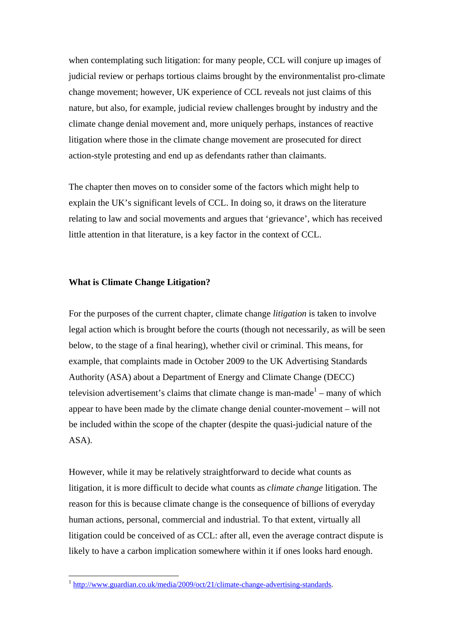when contemplating such litigation: for many people, CCL will conjure up images of judicial review or perhaps tortious claims brought by the environmentalist pro-climate change movement; however, UK experience of CCL reveals not just claims of this nature, but also, for example, judicial review challenges brought by industry and the climate change denial movement and, more uniquely perhaps, instances of reactive litigation where those in the climate change movement are prosecuted for direct action-style protesting and end up as defendants rather than claimants.

The chapter then moves on to consider some of the factors which might help to explain the UK's significant levels of CCL. In doing so, it draws on the literature relating to law and social movements and argues that 'grievance', which has received little attention in that literature, is a key factor in the context of CCL.

# **What is Climate Change Litigation?**

1

For the purposes of the current chapter, climate change *litigation* is taken to involve legal action which is brought before the courts (though not necessarily, as will be seen below, to the stage of a final hearing), whether civil or criminal. This means, for example, that complaints made in October 2009 to the UK Advertising Standards Authority (ASA) about a Department of Energy and Climate Change (DECC) television advertisement's claims that climate change is man-made $1 -$  many of which appear to have been made by the climate change denial counter-movement – will not be included within the scope of the chapter (despite the quasi-judicial nature of the ASA).

However, while it may be relatively straightforward to decide what counts as litigation, it is more difficult to decide what counts as *climate change* litigation. The reason for this is because climate change is the consequence of billions of everyday human actions, personal, commercial and industrial. To that extent, virtually all litigation could be conceived of as CCL: after all, even the average contract dispute is likely to have a carbon implication somewhere within it if ones looks hard enough.

<sup>&</sup>lt;sup>1</sup> http://www.guardian.co.uk/media/2009/oct/21/climate-change-advertising-standards.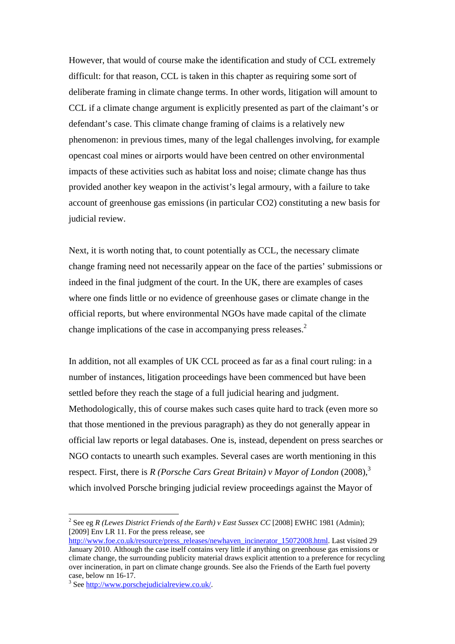However, that would of course make the identification and study of CCL extremely difficult: for that reason, CCL is taken in this chapter as requiring some sort of deliberate framing in climate change terms. In other words, litigation will amount to CCL if a climate change argument is explicitly presented as part of the claimant's or defendant's case. This climate change framing of claims is a relatively new phenomenon: in previous times, many of the legal challenges involving, for example opencast coal mines or airports would have been centred on other environmental impacts of these activities such as habitat loss and noise; climate change has thus provided another key weapon in the activist's legal armoury, with a failure to take account of greenhouse gas emissions (in particular CO2) constituting a new basis for judicial review.

Next, it is worth noting that, to count potentially as CCL, the necessary climate change framing need not necessarily appear on the face of the parties' submissions or indeed in the final judgment of the court. In the UK, there are examples of cases where one finds little or no evidence of greenhouse gases or climate change in the official reports, but where environmental NGOs have made capital of the climate change implications of the case in accompanying press releases.<sup>2</sup>

In addition, not all examples of UK CCL proceed as far as a final court ruling: in a number of instances, litigation proceedings have been commenced but have been settled before they reach the stage of a full judicial hearing and judgment. Methodologically, this of course makes such cases quite hard to track (even more so that those mentioned in the previous paragraph) as they do not generally appear in official law reports or legal databases. One is, instead, dependent on press searches or NGO contacts to unearth such examples. Several cases are worth mentioning in this respect. First, there is *R (Porsche Cars Great Britain) v Mayor of London* (2008),<sup>3</sup> which involved Porsche bringing judicial review proceedings against the Mayor of

<sup>2</sup> See eg *R (Lewes District Friends of the Earth) v East Sussex CC* [2008] EWHC 1981 (Admin); [2009] Env LR 11. For the press release, see

http://www.foe.co.uk/resource/press\_releases/newhaven\_incinerator\_15072008.html. Last visited 29 January 2010. Although the case itself contains very little if anything on greenhouse gas emissions or climate change, the surrounding publicity material draws explicit attention to a preference for recycling over incineration, in part on climate change grounds. See also the Friends of the Earth fuel poverty case, below nn 16-17.

<sup>&</sup>lt;sup>3</sup> See http://www.porschejudicialreview.co.uk/.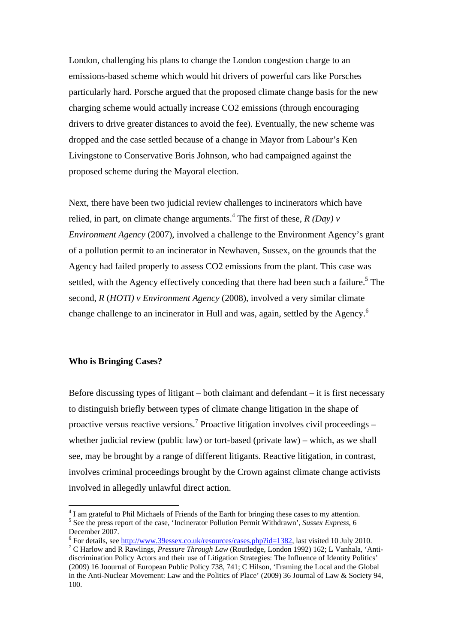London, challenging his plans to change the London congestion charge to an emissions-based scheme which would hit drivers of powerful cars like Porsches particularly hard. Porsche argued that the proposed climate change basis for the new charging scheme would actually increase CO2 emissions (through encouraging drivers to drive greater distances to avoid the fee). Eventually, the new scheme was dropped and the case settled because of a change in Mayor from Labour's Ken Livingstone to Conservative Boris Johnson, who had campaigned against the proposed scheme during the Mayoral election.

Next, there have been two judicial review challenges to incinerators which have relied, in part, on climate change arguments.<sup>4</sup> The first of these,  $R(Day)$  v *Environment Agency* (2007), involved a challenge to the Environment Agency's grant of a pollution permit to an incinerator in Newhaven, Sussex, on the grounds that the Agency had failed properly to assess CO2 emissions from the plant. This case was settled, with the Agency effectively conceding that there had been such a failure.<sup>5</sup> The second, *R* (*HOTI) v Environment Agency* (2008), involved a very similar climate change challenge to an incinerator in Hull and was, again, settled by the Agency.<sup>6</sup>

### **Who is Bringing Cases?**

1

Before discussing types of litigant – both claimant and defendant – it is first necessary to distinguish briefly between types of climate change litigation in the shape of proactive versus reactive versions.<sup>7</sup> Proactive litigation involves civil proceedings  $$ whether judicial review (public law) or tort-based (private law) – which, as we shall see, may be brought by a range of different litigants. Reactive litigation, in contrast, involves criminal proceedings brought by the Crown against climate change activists involved in allegedly unlawful direct action.

<sup>&</sup>lt;sup>4</sup> I am grateful to Phil Michaels of Friends of the Earth for bringing these cases to my attention. <sup>5</sup> See the press report of the case, 'Incinerator Pollution Permit Withdrawn', *Sussex Express*, 6 December 2007.

<sup>&</sup>lt;sup>6</sup> For details, see <u>http://www.39essex.co.uk/resources/cases.php?id=1382</u>, last visited 10 July 2010. C Harlow and R Rawlings, *Pressure Through Law* (Routledge, London 1992) 162; L Vanhala, 'Antidiscrimination Policy Actors and their use of Litigation Strategies: The Influence of Identity Politics' (2009) 16 Joournal of European Public Policy 738, 741; C Hilson, 'Framing the Local and the Global in the Anti-Nuclear Movement: Law and the Politics of Place' (2009) 36 Journal of Law & Society 94, 100.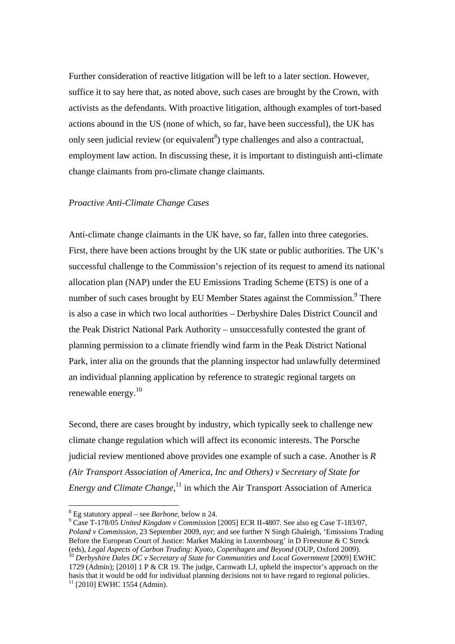Further consideration of reactive litigation will be left to a later section. However, suffice it to say here that, as noted above, such cases are brought by the Crown, with activists as the defendants. With proactive litigation, although examples of tort-based actions abound in the US (none of which, so far, have been successful), the UK has only seen judicial review (or equivalent<sup>8</sup>) type challenges and also a contractual, employment law action. In discussing these, it is important to distinguish anti-climate change claimants from pro-climate change claimants.

## *Proactive Anti-Climate Change Cases*

Anti-climate change claimants in the UK have, so far, fallen into three categories. First, there have been actions brought by the UK state or public authorities. The UK's successful challenge to the Commission's rejection of its request to amend its national allocation plan (NAP) under the EU Emissions Trading Scheme (ETS) is one of a number of such cases brought by EU Member States against the Commission.<sup>9</sup> There is also a case in which two local authorities – Derbyshire Dales District Council and the Peak District National Park Authority – unsuccessfully contested the grant of planning permission to a climate friendly wind farm in the Peak District National Park, inter alia on the grounds that the planning inspector had unlawfully determined an individual planning application by reference to strategic regional targets on renewable energy.10

Second, there are cases brought by industry, which typically seek to challenge new climate change regulation which will affect its economic interests. The Porsche judicial review mentioned above provides one example of such a case. Another is *R (Air Transport Association of America, Inc and Others) v Secretary of State for Energy and Climate Change*,<sup>11</sup> in which the Air Transport Association of America

1

 Case T-178/05 *United Kingdom v Commission* [2005] ECR II-4807. See also eg Case T-183/07, *Poland v Commission*, 23 September 2009, nyr; and see further N Singh Ghaleigh, 'Emissions Trading Before the European Court of Justice: Market Making in Luxembourg' in D Freestone & C Streck (eds), Legal Aspects of Carbon Trading: Kvoto, Copenhagen and Bevond (OUP, Oxford 2009). <sup>10</sup> Derbyshire Dales DC v Secretary of State for Communities and Local Government [2009] EWHC 1729 (Admin); [2010] 1 P & CR 19. The judge, Carnwath LJ, upheld the inspector's approach on the basis that it would be odd for individual planning decisions not to have regard to regional policies. <sup>11</sup> [2010] EWHC 1554 (Admin).

<sup>&</sup>lt;sup>8</sup> Eg statutory appeal – see *Barbone*, below n 24.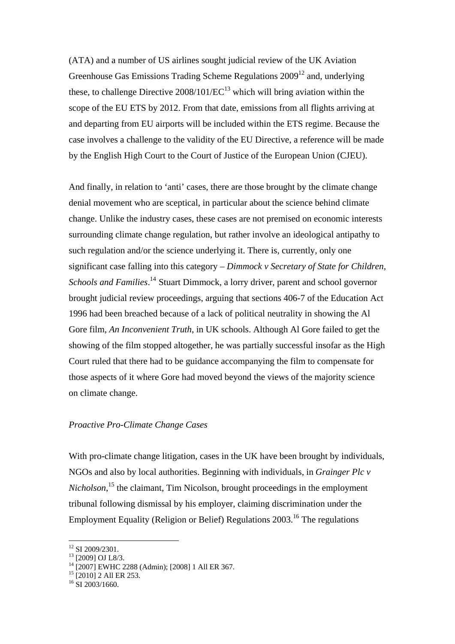(ATA) and a number of US airlines sought judicial review of the UK Aviation Greenhouse Gas Emissions Trading Scheme Regulations  $2009^{12}$  and, underlying these, to challenge Directive  $2008/101/EC^{13}$  which will bring aviation within the scope of the EU ETS by 2012. From that date, emissions from all flights arriving at and departing from EU airports will be included within the ETS regime. Because the case involves a challenge to the validity of the EU Directive, a reference will be made by the English High Court to the Court of Justice of the European Union (CJEU).

And finally, in relation to 'anti' cases, there are those brought by the climate change denial movement who are sceptical, in particular about the science behind climate change. Unlike the industry cases, these cases are not premised on economic interests surrounding climate change regulation, but rather involve an ideological antipathy to such regulation and/or the science underlying it. There is, currently, only one significant case falling into this category – *Dimmock v Secretary of State for Children,*  Schools and Families.<sup>14</sup> Stuart Dimmock, a lorry driver, parent and school governor brought judicial review proceedings, arguing that sections 406-7 of the Education Act 1996 had been breached because of a lack of political neutrality in showing the Al Gore film, *An Inconvenient Truth*, in UK schools. Although Al Gore failed to get the showing of the film stopped altogether, he was partially successful insofar as the High Court ruled that there had to be guidance accompanying the film to compensate for those aspects of it where Gore had moved beyond the views of the majority science on climate change.

#### *Proactive Pro-Climate Change Cases*

With pro-climate change litigation, cases in the UK have been brought by individuals, NGOs and also by local authorities. Beginning with individuals, in *Grainger Plc v Nicholson*, 15 the claimant, Tim Nicolson, brought proceedings in the employment tribunal following dismissal by his employer, claiming discrimination under the Employment Equality (Religion or Belief) Regulations 2003.16 The regulations

<sup>&</sup>lt;sup>12</sup> SI 2009/2301.

 $13$  [2009] OJ L8/3.

<sup>14 [2007]</sup> EWHC 2288 (Admin); [2008] 1 All ER 367.

<sup>&</sup>lt;sup>15</sup> [2010] 2 All ER 253.

 $16$  SI 2003/1660.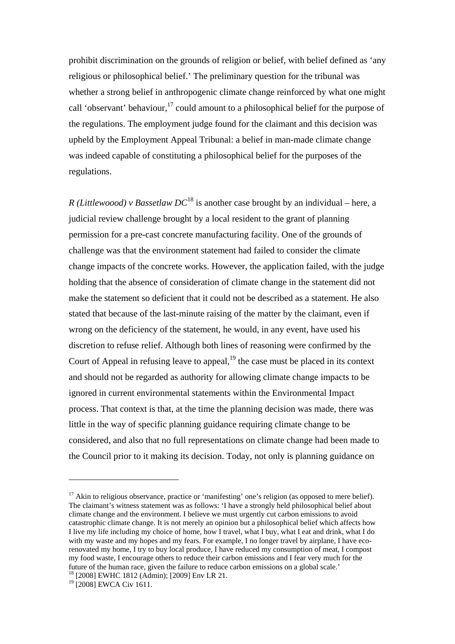prohibit discrimination on the grounds of religion or belief, with belief defined as 'any religious or philosophical belief.' The preliminary question for the tribunal was whether a strong belief in anthropogenic climate change reinforced by what one might call 'observant' behaviour,<sup>17</sup> could amount to a philosophical belief for the purpose of the regulations. The employment judge found for the claimant and this decision was upheld by the Employment Appeal Tribunal: a belief in man-made climate change was indeed capable of constituting a philosophical belief for the purposes of the regulations.

*R (Littlewoood) v Bassetlaw DC*18 is another case brought by an individual – here, a judicial review challenge brought by a local resident to the grant of planning permission for a pre-cast concrete manufacturing facility. One of the grounds of challenge was that the environment statement had failed to consider the climate change impacts of the concrete works. However, the application failed, with the judge holding that the absence of consideration of climate change in the statement did not make the statement so deficient that it could not be described as a statement. He also stated that because of the last-minute raising of the matter by the claimant, even if wrong on the deficiency of the statement, he would, in any event, have used his discretion to refuse relief. Although both lines of reasoning were confirmed by the Court of Appeal in refusing leave to appeal, $19$  the case must be placed in its context and should not be regarded as authority for allowing climate change impacts to be ignored in current environmental statements within the Environmental Impact process. That context is that, at the time the planning decision was made, there was little in the way of specific planning guidance requiring climate change to be considered, and also that no full representations on climate change had been made to the Council prior to it making its decision. Today, not only is planning guidance on

 $17$  Akin to religious observance, practice or 'manifesting' one's religion (as opposed to mere belief). The claimant's witness statement was as follows: 'I have a strongly held philosophical belief about climate change and the environment. I believe we must urgently cut carbon emissions to avoid catastrophic climate change. It is not merely an opinion but a philosophical belief which affects how I live my life including my choice of home, how I travel, what I buy, what I eat and drink, what I do with my waste and my hopes and my fears. For example, I no longer travel by airplane, I have ecorenovated my home, I try to buy local produce, I have reduced my consumption of meat, I compost my food waste, I encourage others to reduce their carbon emissions and I fear very much for the future of the human race, given the failure to reduce carbon emissions on a global scale.' 18 [2008] EWHC 1812 (Admin); [2009] Env LR 21.

<sup>&</sup>lt;sup>19</sup> [2008] EWCA Civ 1611.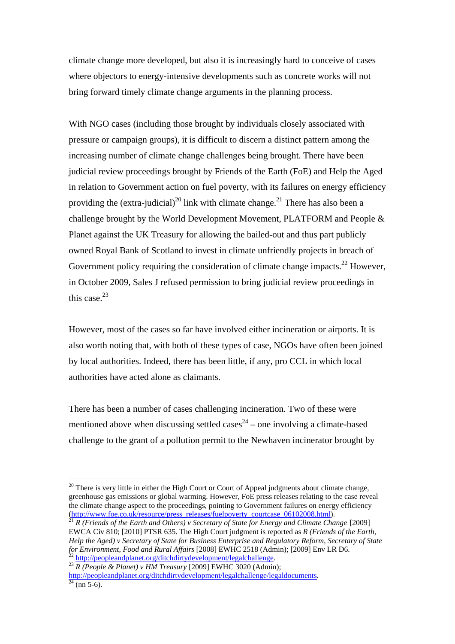climate change more developed, but also it is increasingly hard to conceive of cases where objectors to energy-intensive developments such as concrete works will not bring forward timely climate change arguments in the planning process.

With NGO cases (including those brought by individuals closely associated with pressure or campaign groups), it is difficult to discern a distinct pattern among the increasing number of climate change challenges being brought. There have been judicial review proceedings brought by Friends of the Earth (FoE) and Help the Aged in relation to Government action on fuel poverty, with its failures on energy efficiency providing the (extra-judicial)<sup>20</sup> link with climate change.<sup>21</sup> There has also been a challenge brought by the World Development Movement, PLATFORM and People & Planet against the UK Treasury for allowing the bailed-out and thus part publicly owned Royal Bank of Scotland to invest in climate unfriendly projects in breach of Government policy requiring the consideration of climate change impacts.<sup>22</sup> However, in October 2009, Sales J refused permission to bring judicial review proceedings in this case.23

However, most of the cases so far have involved either incineration or airports. It is also worth noting that, with both of these types of case, NGOs have often been joined by local authorities. Indeed, there has been little, if any, pro CCL in which local authorities have acted alone as claimants.

There has been a number of cases challenging incineration. Two of these were mentioned above when discussing settled cases<sup>24</sup> – one involving a climate-based challenge to the grant of a pollution permit to the Newhaven incinerator brought by

 $20$  There is very little in either the High Court or Court of Appeal judgments about climate change, greenhouse gas emissions or global warming. However, FoE press releases relating to the case reveal the climate change aspect to the proceedings, pointing to Government failures on energy efficiency (http://www.foe.co.uk/resource/press\_releases/fuelpoverty\_courtcase\_06102008.html).<br><sup>21</sup> *R (Friends of the Earth and Others) v Secretary of State for Energy and Climate Change* [2009]

EWCA Civ 810; [2010] PTSR 635. The High Court judgment is reported as *R (Friends of the Earth, Help the Aged) v Secretary of State for Business Enterprise and Regulatory Reform, Secretary of State for Environment, Food and Rural Affairs* [2008] EWHC 2518 (Admin); [2009] Env LR D6.

<sup>&</sup>lt;sup>22</sup> http://peopleandplanet.org/ditchdirtydevelopment/legalchallenge.<br><sup>23</sup> R (People & Planet) v HM Treasury [2009] EWHC 3020 (Admin);

http://peopleandplanet.org/ditchdirtydevelopment/legalchallenge/legaldocuments. 24 (nn 5-6).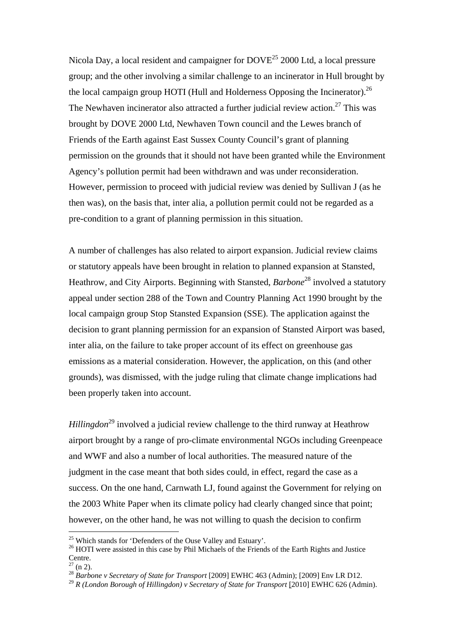Nicola Day, a local resident and campaigner for  $DOVE^{25}$  2000 Ltd, a local pressure group; and the other involving a similar challenge to an incinerator in Hull brought by the local campaign group HOTI (Hull and Holderness Opposing the Incinerator).<sup>26</sup> The Newhaven incinerator also attracted a further judicial review action.<sup>27</sup> This was brought by DOVE 2000 Ltd, Newhaven Town council and the Lewes branch of Friends of the Earth against East Sussex County Council's grant of planning permission on the grounds that it should not have been granted while the Environment Agency's pollution permit had been withdrawn and was under reconsideration. However, permission to proceed with judicial review was denied by Sullivan J (as he then was), on the basis that, inter alia, a pollution permit could not be regarded as a pre-condition to a grant of planning permission in this situation.

A number of challenges has also related to airport expansion. Judicial review claims or statutory appeals have been brought in relation to planned expansion at Stansted, Heathrow, and City Airports. Beginning with Stansted, *Barbone*<sup>28</sup> involved a statutory appeal under section 288 of the Town and Country Planning Act 1990 brought by the local campaign group Stop Stansted Expansion (SSE). The application against the decision to grant planning permission for an expansion of Stansted Airport was based, inter alia, on the failure to take proper account of its effect on greenhouse gas emissions as a material consideration. However, the application, on this (and other grounds), was dismissed, with the judge ruling that climate change implications had been properly taken into account.

*Hillingdon*<sup>29</sup> involved a judicial review challenge to the third runway at Heathrow airport brought by a range of pro-climate environmental NGOs including Greenpeace and WWF and also a number of local authorities. The measured nature of the judgment in the case meant that both sides could, in effect, regard the case as a success. On the one hand, Carnwath LJ, found against the Government for relying on the 2003 White Paper when its climate policy had clearly changed since that point; however, on the other hand, he was not willing to quash the decision to confirm

<sup>&</sup>lt;sup>25</sup> Which stands for 'Defenders of the Ouse Valley and Estuary'.

<sup>&</sup>lt;sup>26</sup> HOTI were assisted in this case by Phil Michaels of the Friends of the Earth Rights and Justice Centre.

 $(n 2)$ .

<sup>28</sup> *Barbone v Secretary of State for Transport* [2009] EWHC 463 (Admin); [2009] Env LR D12.

<sup>29</sup> *R (London Borough of Hillingdon) v Secretary of State for Transport* [2010] EWHC 626 (Admin).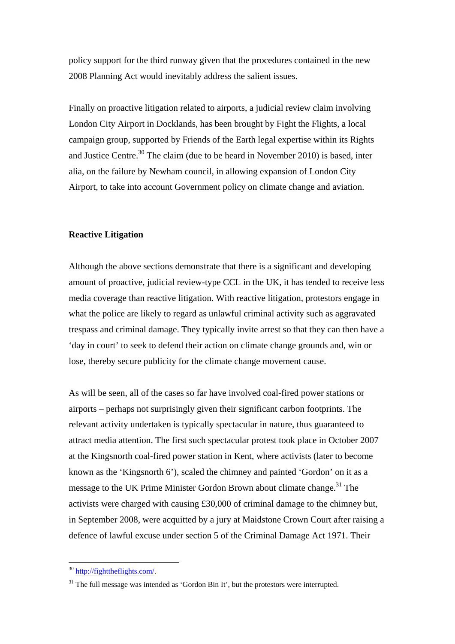policy support for the third runway given that the procedures contained in the new 2008 Planning Act would inevitably address the salient issues.

Finally on proactive litigation related to airports, a judicial review claim involving London City Airport in Docklands, has been brought by Fight the Flights, a local campaign group, supported by Friends of the Earth legal expertise within its Rights and Justice Centre.<sup>30</sup> The claim (due to be heard in November 2010) is based, inter alia, on the failure by Newham council, in allowing expansion of London City Airport, to take into account Government policy on climate change and aviation.

#### **Reactive Litigation**

Although the above sections demonstrate that there is a significant and developing amount of proactive, judicial review-type CCL in the UK, it has tended to receive less media coverage than reactive litigation. With reactive litigation, protestors engage in what the police are likely to regard as unlawful criminal activity such as aggravated trespass and criminal damage. They typically invite arrest so that they can then have a 'day in court' to seek to defend their action on climate change grounds and, win or lose, thereby secure publicity for the climate change movement cause.

As will be seen, all of the cases so far have involved coal-fired power stations or airports – perhaps not surprisingly given their significant carbon footprints. The relevant activity undertaken is typically spectacular in nature, thus guaranteed to attract media attention. The first such spectacular protest took place in October 2007 at the Kingsnorth coal-fired power station in Kent, where activists (later to become known as the 'Kingsnorth 6'), scaled the chimney and painted 'Gordon' on it as a message to the UK Prime Minister Gordon Brown about climate change.<sup>31</sup> The activists were charged with causing £30,000 of criminal damage to the chimney but, in September 2008, were acquitted by a jury at Maidstone Crown Court after raising a defence of lawful excuse under section 5 of the Criminal Damage Act 1971. Their

<sup>&</sup>lt;sup>30</sup> http://fighttheflights.com/.

 $31$  The full message was intended as 'Gordon Bin It', but the protestors were interrupted.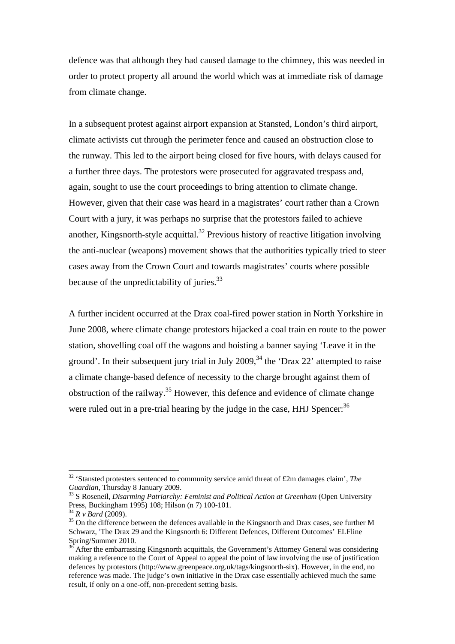defence was that although they had caused damage to the chimney, this was needed in order to protect property all around the world which was at immediate risk of damage from climate change.

In a subsequent protest against airport expansion at Stansted, London's third airport, climate activists cut through the perimeter fence and caused an obstruction close to the runway. This led to the airport being closed for five hours, with delays caused for a further three days. The protestors were prosecuted for aggravated trespass and, again, sought to use the court proceedings to bring attention to climate change. However, given that their case was heard in a magistrates' court rather than a Crown Court with a jury, it was perhaps no surprise that the protestors failed to achieve another, Kingsnorth-style acquittal.<sup>32</sup> Previous history of reactive litigation involving the anti-nuclear (weapons) movement shows that the authorities typically tried to steer cases away from the Crown Court and towards magistrates' courts where possible because of the unpredictability of juries.<sup>33</sup>

A further incident occurred at the Drax coal-fired power station in North Yorkshire in June 2008, where climate change protestors hijacked a coal train en route to the power station, shovelling coal off the wagons and hoisting a banner saying 'Leave it in the ground'. In their subsequent jury trial in July 2009,  $34$  the 'Drax 22' attempted to raise a climate change-based defence of necessity to the charge brought against them of obstruction of the railway.<sup>35</sup> However, this defence and evidence of climate change were ruled out in a pre-trial hearing by the judge in the case,  $HHJ$  Spencer:<sup>36</sup>

<sup>&</sup>lt;sup>32</sup> 'Stansted protesters sentenced to community service amid threat of £2m damages claim', *The Guardian*, Thursday 8 January 2009.<br><sup>33</sup> S Roseneil, *Disarming Patriarchy: Feminist and Political Action at Greenham* (Open University

Press, Buckingham 1995) 108; Hilson (n 7) 100-101.<br> $^{34}Rv$  *Bard* (2009).

<sup>&</sup>lt;sup>35</sup> On the difference between the defences available in the Kingsnorth and Drax cases, see further M Schwarz, 'The Drax 29 and the Kingsnorth 6: Different Defences, Different Outcomes' ELFline Spring/Summer 2010.

<sup>36</sup> After the embarrassing Kingsnorth acquittals, the Government's Attorney General was considering making a reference to the Court of Appeal to appeal the point of law involving the use of justification defences by protestors (http://www.greenpeace.org.uk/tags/kingsnorth-six). However, in the end, no reference was made. The judge's own initiative in the Drax case essentially achieved much the same result, if only on a one-off, non-precedent setting basis.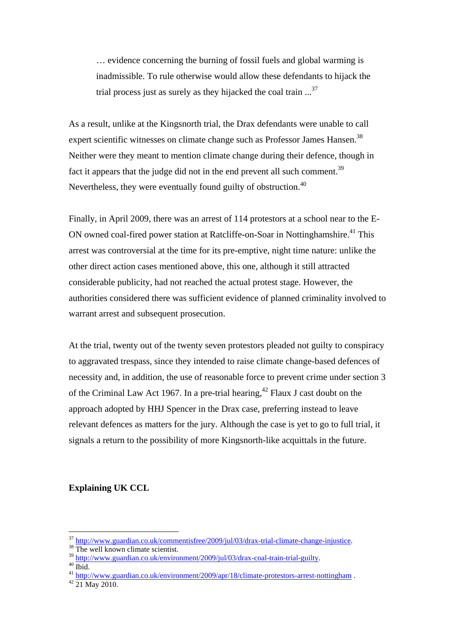… evidence concerning the burning of fossil fuels and global warming is inadmissible. To rule otherwise would allow these defendants to hijack the trial process just as surely as they hijacked the coal train  $\ldots$ <sup>37</sup>

As a result, unlike at the Kingsnorth trial, the Drax defendants were unable to call expert scientific witnesses on climate change such as Professor James Hansen.<sup>38</sup> Neither were they meant to mention climate change during their defence, though in fact it appears that the judge did not in the end prevent all such comment.<sup>39</sup> Nevertheless, they were eventually found guilty of obstruction.<sup>40</sup>

Finally, in April 2009, there was an arrest of 114 protestors at a school near to the E-ON owned coal-fired power station at Ratcliffe-on-Soar in Nottinghamshire.<sup>41</sup> This arrest was controversial at the time for its pre-emptive, night time nature: unlike the other direct action cases mentioned above, this one, although it still attracted considerable publicity, had not reached the actual protest stage. However, the authorities considered there was sufficient evidence of planned criminality involved to warrant arrest and subsequent prosecution.

At the trial, twenty out of the twenty seven protestors pleaded not guilty to conspiracy to aggravated trespass, since they intended to raise climate change-based defences of necessity and, in addition, the use of reasonable force to prevent crime under section 3 of the Criminal Law Act 1967. In a pre-trial hearing,  $^{42}$  Flaux J cast doubt on the approach adopted by HHJ Spencer in the Drax case, preferring instead to leave relevant defences as matters for the jury. Although the case is yet to go to full trial, it signals a return to the possibility of more Kingsnorth-like acquittals in the future.

## **Explaining UK CCL**

 $\frac{37}{38}$  http://www.guardian.co.uk/commentisfree/2009/jul/03/drax-trial-climate-change-injustice. The well known climate scientist.

<sup>&</sup>lt;sup>38</sup> The well known climate scientist.<br><sup>39</sup> http://www.guardian.co.uk/environment/2009/jul/03/drax-coal-train-trial-guilty.<br><sup>40</sup> Ibid.

<sup>41</sup> http://www.guardian.co.uk/environment/2009/apr/18/climate-protestors-arrest-nottingham .<br>42 21 May 2010.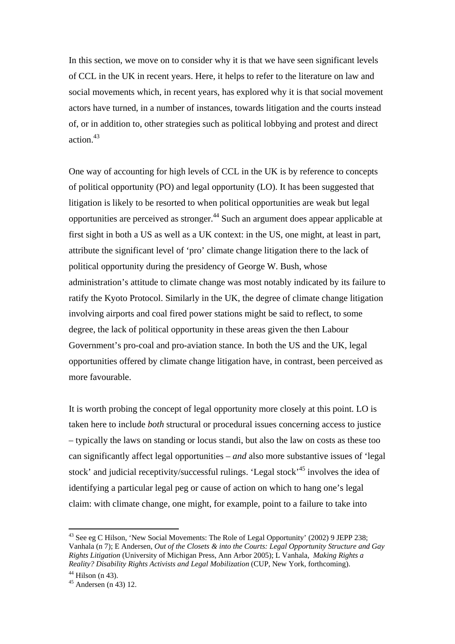In this section, we move on to consider why it is that we have seen significant levels of CCL in the UK in recent years. Here, it helps to refer to the literature on law and social movements which, in recent years, has explored why it is that social movement actors have turned, in a number of instances, towards litigation and the courts instead of, or in addition to, other strategies such as political lobbying and protest and direct action.<sup>43</sup>

One way of accounting for high levels of CCL in the UK is by reference to concepts of political opportunity (PO) and legal opportunity (LO). It has been suggested that litigation is likely to be resorted to when political opportunities are weak but legal opportunities are perceived as stronger.44 Such an argument does appear applicable at first sight in both a US as well as a UK context: in the US, one might, at least in part, attribute the significant level of 'pro' climate change litigation there to the lack of political opportunity during the presidency of George W. Bush, whose administration's attitude to climate change was most notably indicated by its failure to ratify the Kyoto Protocol. Similarly in the UK, the degree of climate change litigation involving airports and coal fired power stations might be said to reflect, to some degree, the lack of political opportunity in these areas given the then Labour Government's pro-coal and pro-aviation stance. In both the US and the UK, legal opportunities offered by climate change litigation have, in contrast, been perceived as more favourable.

It is worth probing the concept of legal opportunity more closely at this point. LO is taken here to include *both* structural or procedural issues concerning access to justice – typically the laws on standing or locus standi, but also the law on costs as these too can significantly affect legal opportunities – *and* also more substantive issues of 'legal stock' and judicial receptivity/successful rulings. 'Legal stock'<sup>45</sup> involves the idea of identifying a particular legal peg or cause of action on which to hang one's legal claim: with climate change, one might, for example, point to a failure to take into

<sup>&</sup>lt;sup>43</sup> See eg C Hilson, 'New Social Movements: The Role of Legal Opportunity' (2002) 9 JEPP 238; Vanhala (n 7); E Andersen, *Out of the Closets & into the Courts: Legal Opportunity Structure and Gay Rights Litigation* (University of Michigan Press, Ann Arbor 2005); L Vanhala, *Making Rights a Reality? Disability Rights Activists and Legal Mobilization* (CUP, New York, forthcoming).

 $44$  Hilson (n 43).

 $45$  Andersen (n 43) 12.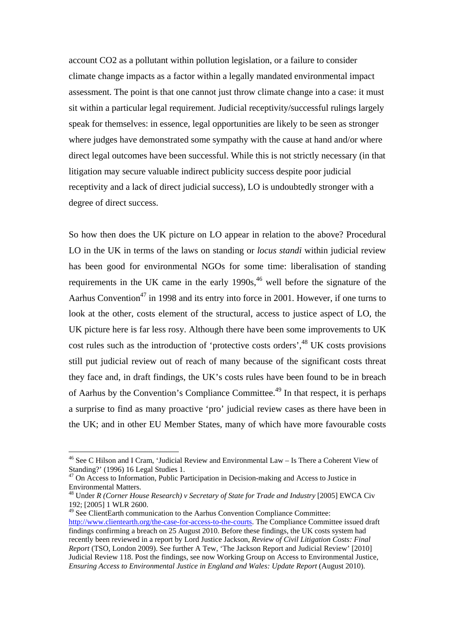account CO2 as a pollutant within pollution legislation, or a failure to consider climate change impacts as a factor within a legally mandated environmental impact assessment. The point is that one cannot just throw climate change into a case: it must sit within a particular legal requirement. Judicial receptivity/successful rulings largely speak for themselves: in essence, legal opportunities are likely to be seen as stronger where judges have demonstrated some sympathy with the cause at hand and/or where direct legal outcomes have been successful. While this is not strictly necessary (in that litigation may secure valuable indirect publicity success despite poor judicial receptivity and a lack of direct judicial success), LO is undoubtedly stronger with a degree of direct success.

So how then does the UK picture on LO appear in relation to the above? Procedural LO in the UK in terms of the laws on standing or *locus standi* within judicial review has been good for environmental NGOs for some time: liberalisation of standing requirements in the UK came in the early  $1990s<sup>46</sup>$  well before the signature of the Aarhus Convention<sup>47</sup> in 1998 and its entry into force in 2001. However, if one turns to look at the other, costs element of the structural, access to justice aspect of LO, the UK picture here is far less rosy. Although there have been some improvements to UK cost rules such as the introduction of 'protective costs orders',<sup>48</sup> UK costs provisions still put judicial review out of reach of many because of the significant costs threat they face and, in draft findings, the UK's costs rules have been found to be in breach of Aarhus by the Convention's Compliance Committee.<sup>49</sup> In that respect, it is perhaps a surprise to find as many proactive 'pro' judicial review cases as there have been in the UK; and in other EU Member States, many of which have more favourable costs

<sup>49</sup> See ClientEarth communication to the Aarhus Convention Compliance Committee:

<sup>46</sup> See C Hilson and I Cram, 'Judicial Review and Environmental Law – Is There a Coherent View of Standing?' (1996) 16 Legal Studies 1.

<sup>&</sup>lt;sup>47</sup> On Access to Information, Public Participation in Decision-making and Access to Justice in Environmental Matters.

<sup>48</sup> Under *R (Corner House Research) v Secretary of State for Trade and Industry* [2005] EWCA Civ 192; [2005] 1 WLR 2600.

http://www.clientearth.org/the-case-for-access-to-the-courts. The Compliance Committee issued draft findings confirming a breach on 25 August 2010. Before these findings, the UK costs system had recently been reviewed in a report by Lord Justice Jackson, *Review of Civil Litigation Costs: Final Report* (TSO, London 2009). See further A Tew, 'The Jackson Report and Judicial Review' [2010] Judicial Review 118. Post the findings, see now Working Group on Access to Environmental Justice, *Ensuring Access to Environmental Justice in England and Wales: Update Report* (August 2010).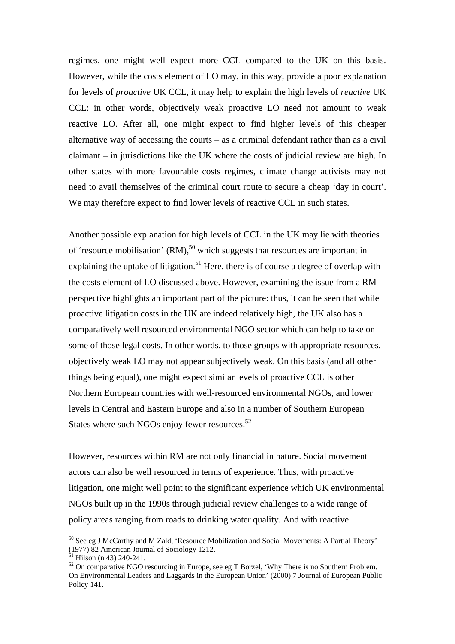regimes, one might well expect more CCL compared to the UK on this basis. However, while the costs element of LO may, in this way, provide a poor explanation for levels of *proactive* UK CCL, it may help to explain the high levels of *reactive* UK CCL: in other words, objectively weak proactive LO need not amount to weak reactive LO. After all, one might expect to find higher levels of this cheaper alternative way of accessing the courts – as a criminal defendant rather than as a civil claimant – in jurisdictions like the UK where the costs of judicial review are high. In other states with more favourable costs regimes, climate change activists may not need to avail themselves of the criminal court route to secure a cheap 'day in court'. We may therefore expect to find lower levels of reactive CCL in such states.

Another possible explanation for high levels of CCL in the UK may lie with theories of 'resource mobilisation'  $(RM)$ ,<sup>50</sup> which suggests that resources are important in explaining the uptake of litigation.<sup>51</sup> Here, there is of course a degree of overlap with the costs element of LO discussed above. However, examining the issue from a RM perspective highlights an important part of the picture: thus, it can be seen that while proactive litigation costs in the UK are indeed relatively high, the UK also has a comparatively well resourced environmental NGO sector which can help to take on some of those legal costs. In other words, to those groups with appropriate resources, objectively weak LO may not appear subjectively weak. On this basis (and all other things being equal), one might expect similar levels of proactive CCL is other Northern European countries with well-resourced environmental NGOs, and lower levels in Central and Eastern Europe and also in a number of Southern European States where such NGOs enjoy fewer resources.<sup>52</sup>

However, resources within RM are not only financial in nature. Social movement actors can also be well resourced in terms of experience. Thus, with proactive litigation, one might well point to the significant experience which UK environmental NGOs built up in the 1990s through judicial review challenges to a wide range of policy areas ranging from roads to drinking water quality. And with reactive

<sup>50</sup> See eg J McCarthy and M Zald, 'Resource Mobilization and Social Movements: A Partial Theory' (1977) 82 American Journal of Sociology 1212.

 $51$  Hilson (n 43) 240-241.

<sup>&</sup>lt;sup>52</sup> On comparative NGO resourcing in Europe, see eg T Borzel, 'Why There is no Southern Problem. On Environmental Leaders and Laggards in the European Union' (2000) 7 Journal of European Public Policy 141.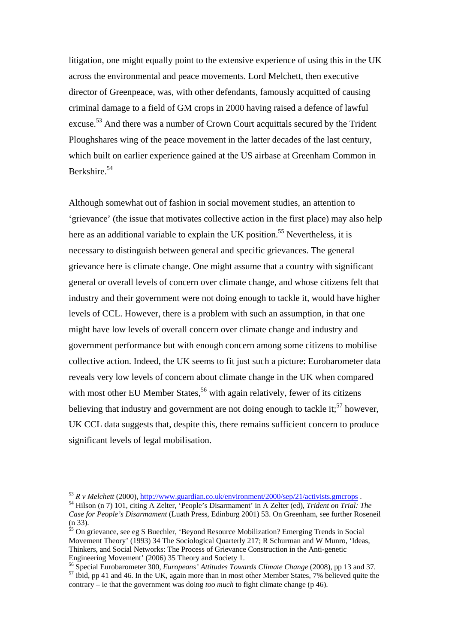litigation, one might equally point to the extensive experience of using this in the UK across the environmental and peace movements. Lord Melchett, then executive director of Greenpeace, was, with other defendants, famously acquitted of causing criminal damage to a field of GM crops in 2000 having raised a defence of lawful excuse.<sup>53</sup> And there was a number of Crown Court acquittals secured by the Trident Ploughshares wing of the peace movement in the latter decades of the last century, which built on earlier experience gained at the US airbase at Greenham Common in Berkshire.<sup>54</sup>

Although somewhat out of fashion in social movement studies, an attention to 'grievance' (the issue that motivates collective action in the first place) may also help here as an additional variable to explain the UK position.<sup>55</sup> Nevertheless, it is necessary to distinguish between general and specific grievances. The general grievance here is climate change. One might assume that a country with significant general or overall levels of concern over climate change, and whose citizens felt that industry and their government were not doing enough to tackle it, would have higher levels of CCL. However, there is a problem with such an assumption, in that one might have low levels of overall concern over climate change and industry and government performance but with enough concern among some citizens to mobilise collective action. Indeed, the UK seems to fit just such a picture: Eurobarometer data reveals very low levels of concern about climate change in the UK when compared with most other EU Member States,  $56$  with again relatively, fewer of its citizens believing that industry and government are not doing enough to tackle it;  $57$  however, UK CCL data suggests that, despite this, there remains sufficient concern to produce significant levels of legal mobilisation.

<sup>&</sup>lt;sup>53</sup> *R v Melchett* (2000), <u>http://www.guardian.co.uk/environment/2000/sep/21/activists.gmcrops</u> .<br><sup>54</sup> Hilson (n 7) 101, citing A Zelter, 'People's Disarmament' in A Zelter (ed), *Trident on Trial: The* 

*Case for People's Disarmament* (Luath Press, Edinburg 2001) 53. On Greenham, see further Roseneil (n 33).

 $\frac{55}{55}$  On grievance, see eg S Buechler, 'Beyond Resource Mobilization? Emerging Trends in Social Movement Theory' (1993) 34 The Sociological Quarterly 217; R Schurman and W Munro, 'Ideas, Thinkers, and Social Networks: The Process of Grievance Construction in the Anti-genetic Engineering Movement' (2006) 35 Theory and Society 1.<br><sup>56</sup> Special Eurobarometer 300, *Europeans' Attitudes Towards Climate Change* (2008), pp 13 and 37.

<sup>&</sup>lt;sup>57</sup> Ibid, pp 41 and 46. In the UK, again more than in most other Member States, 7% believed quite the contrary – ie that the government was doing *too much* to fight climate change (p 46).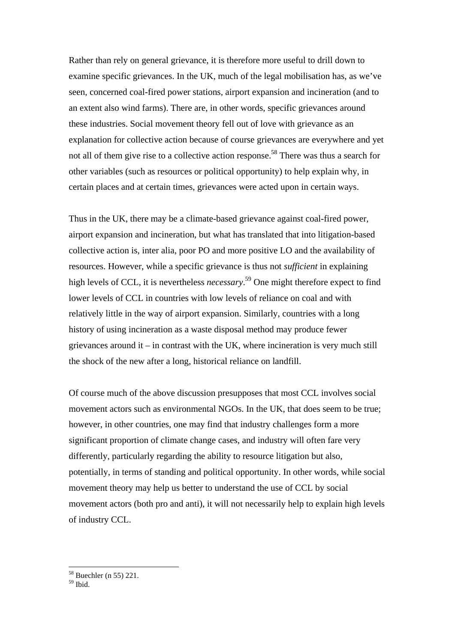Rather than rely on general grievance, it is therefore more useful to drill down to examine specific grievances. In the UK, much of the legal mobilisation has, as we've seen, concerned coal-fired power stations, airport expansion and incineration (and to an extent also wind farms). There are, in other words, specific grievances around these industries. Social movement theory fell out of love with grievance as an explanation for collective action because of course grievances are everywhere and yet not all of them give rise to a collective action response.<sup>58</sup> There was thus a search for other variables (such as resources or political opportunity) to help explain why, in certain places and at certain times, grievances were acted upon in certain ways.

Thus in the UK, there may be a climate-based grievance against coal-fired power, airport expansion and incineration, but what has translated that into litigation-based collective action is, inter alia, poor PO and more positive LO and the availability of resources. However, while a specific grievance is thus not *sufficient* in explaining high levels of CCL, it is nevertheless *necessary*. 59 One might therefore expect to find lower levels of CCL in countries with low levels of reliance on coal and with relatively little in the way of airport expansion. Similarly, countries with a long history of using incineration as a waste disposal method may produce fewer grievances around it – in contrast with the UK, where incineration is very much still the shock of the new after a long, historical reliance on landfill.

Of course much of the above discussion presupposes that most CCL involves social movement actors such as environmental NGOs. In the UK, that does seem to be true; however, in other countries, one may find that industry challenges form a more significant proportion of climate change cases, and industry will often fare very differently, particularly regarding the ability to resource litigation but also, potentially, in terms of standing and political opportunity. In other words, while social movement theory may help us better to understand the use of CCL by social movement actors (both pro and anti), it will not necessarily help to explain high levels of industry CCL.

<sup>58</sup> Buechler (n 55) 221.

 $59$  Ibid.